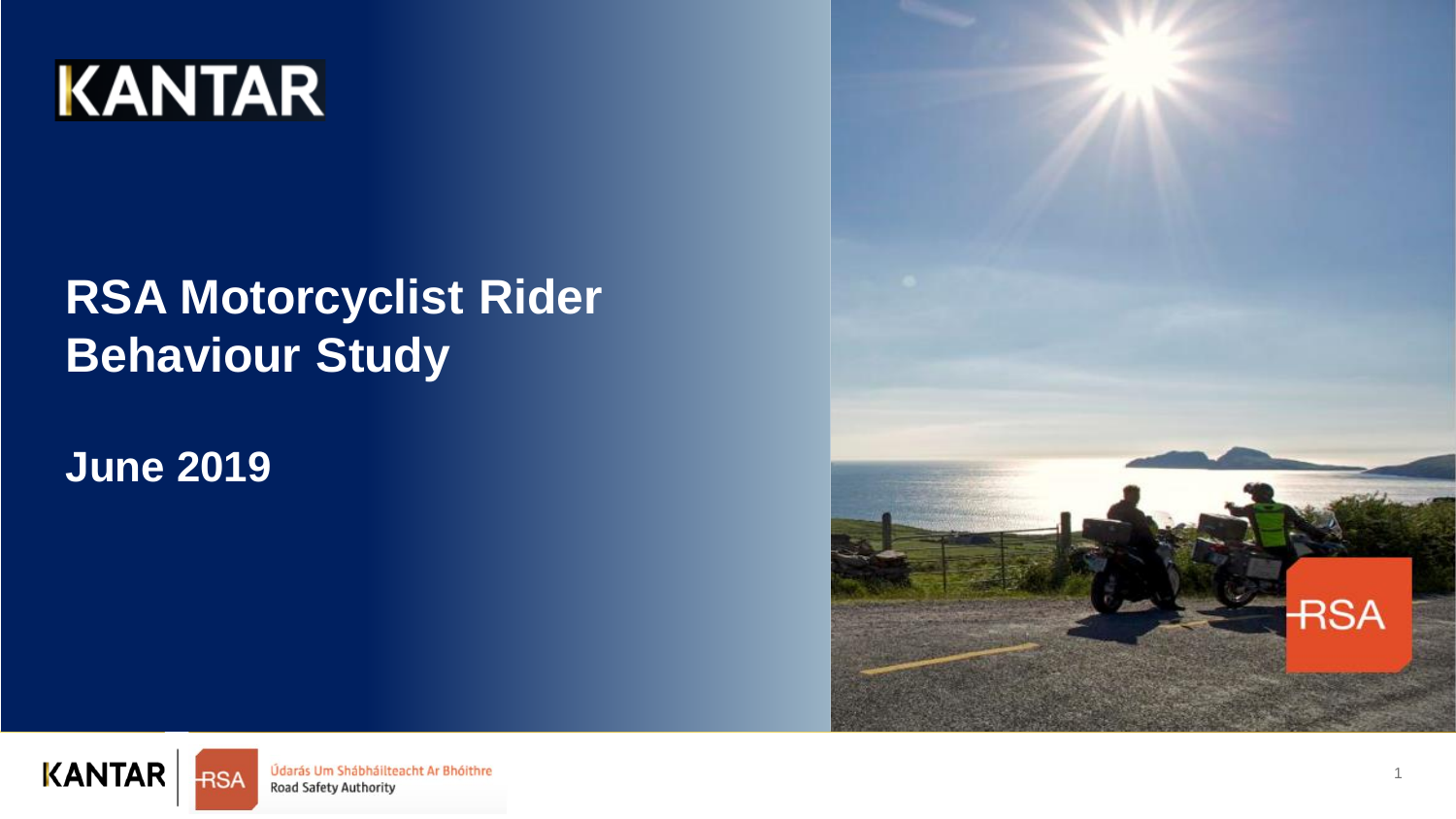

# **RSA Motorcyclist Rider Behaviour Study**

**June 2019**





Údarás Um Shábháilteacht Ar Bhóithre Road Safety Authority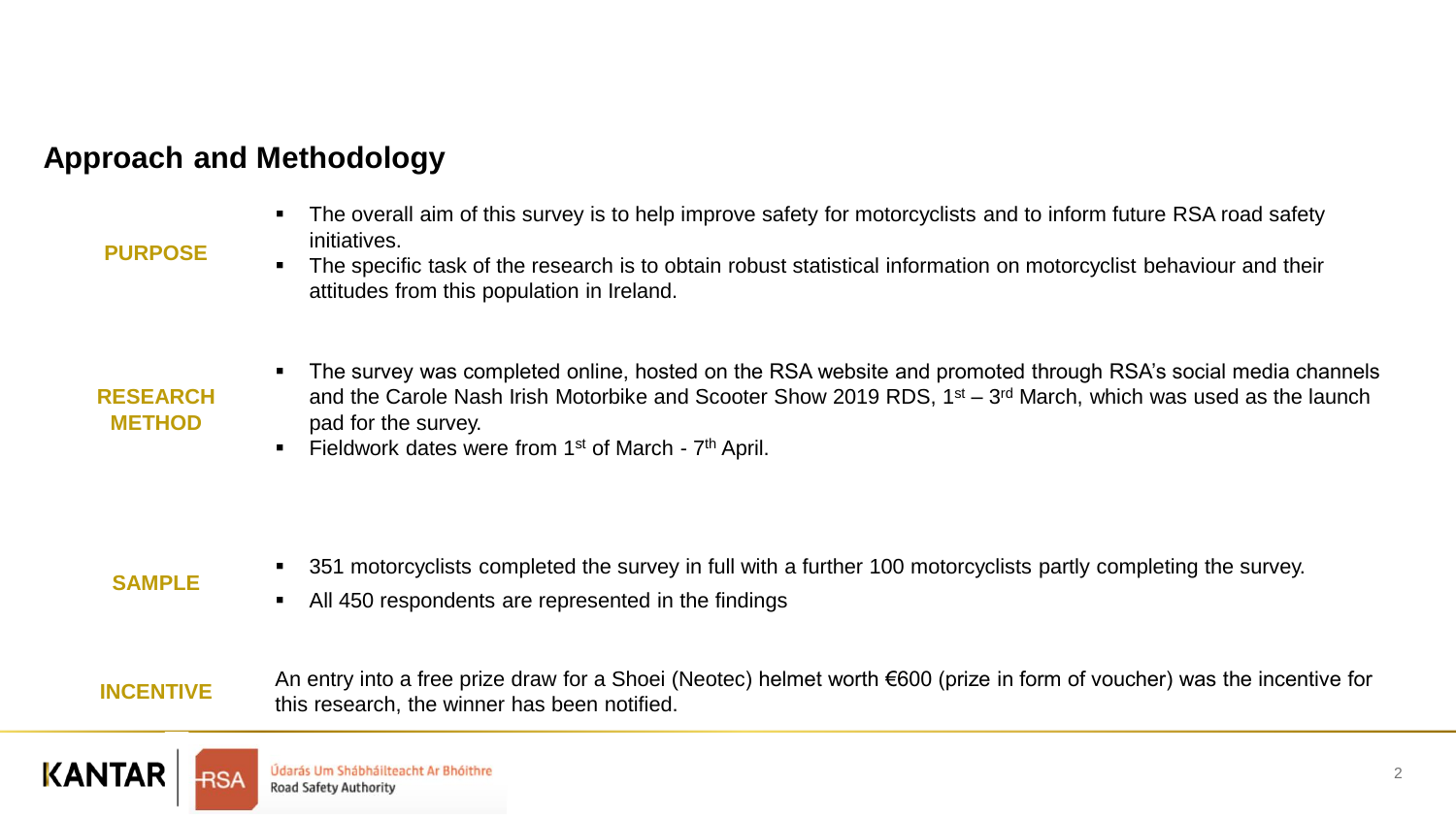### **Approach and Methodology**

■ The overall aim of this survey is to help improve safety for motorcyclists and to inform future RSA road safety initiatives.

#### **PURPOSE**

▪ The specific task of the research is to obtain robust statistical information on motorcyclist behaviour and their attitudes from this population in Ireland.

#### **RESEARCH METHOD**

- The survey was completed online, hosted on the RSA website and promoted through RSA's social media channels and the Carole Nash Irish Motorbike and Scooter Show 2019 RDS, 1<sup>st</sup> – 3<sup>rd</sup> March, which was used as the launch pad for the survey.
- **Example 1** Fieldwork dates were from 1<sup>st</sup> of March  $7<sup>th</sup>$  April.

### **SAMPLE**

- 351 motorcyclists completed the survey in full with a further 100 motorcyclists partly completing the survey.
- All 450 respondents are represented in the findings

**INCENTIVE** An entry into a free prize draw for a Shoei (Neotec) helmet worth €600 (prize in form of voucher) was the incentive for this research, the winner has been notified.

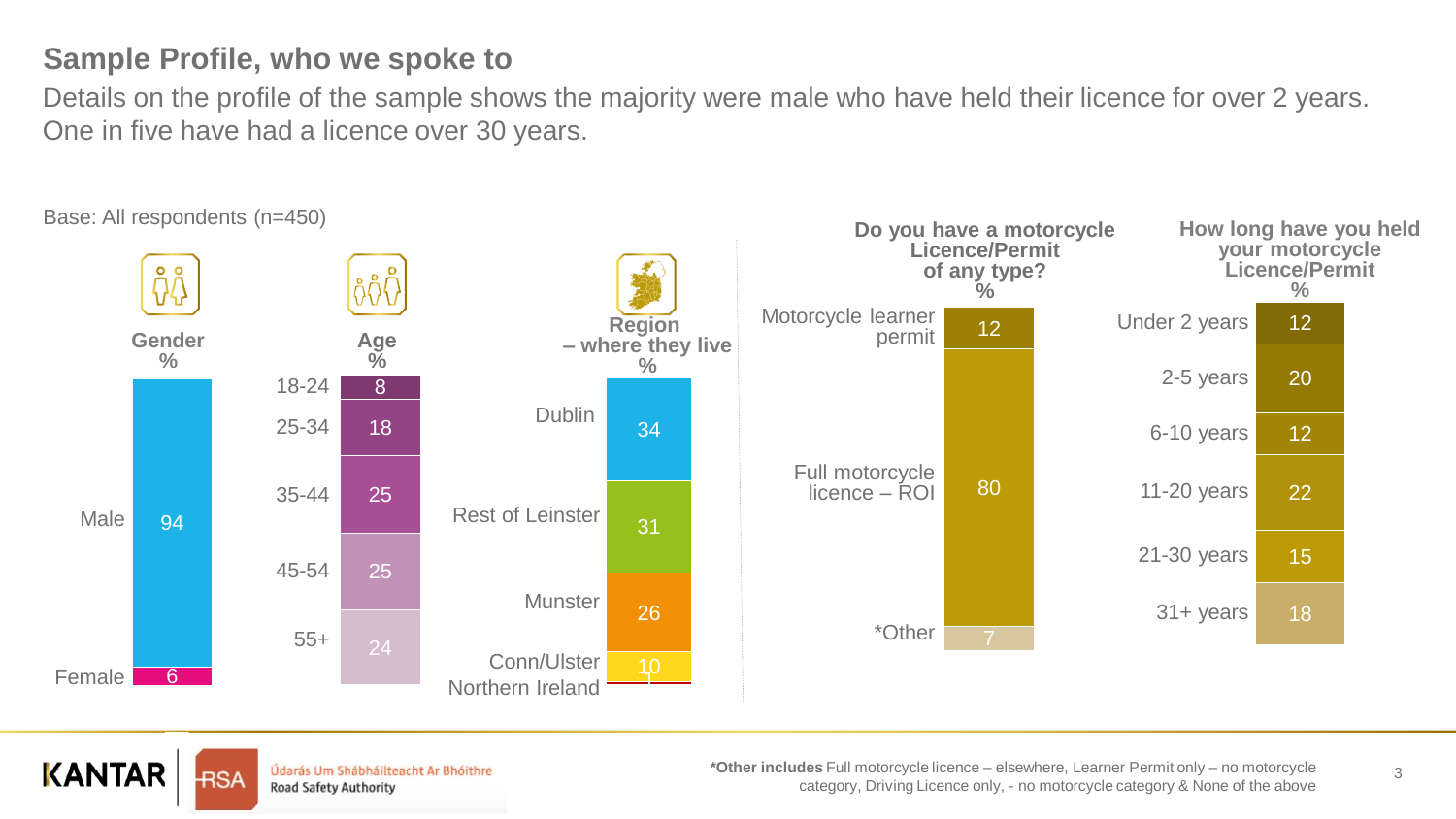### **Sample Profile, who we spoke to**

Details on the profile of the sample shows the majority were male who have held their licence for over 2 years. One in five have had a licence over 30 years.



Base: All respondents (n=450)



Údarás Um Shábháilteacht Ar Bhóithre **Road Safety Authority** 

**\*Other includes** Full motorcycle licence – elsewhere, Learner Permit only – no motorcycle category, Driving Licence only, - no motorcycle category & None of the above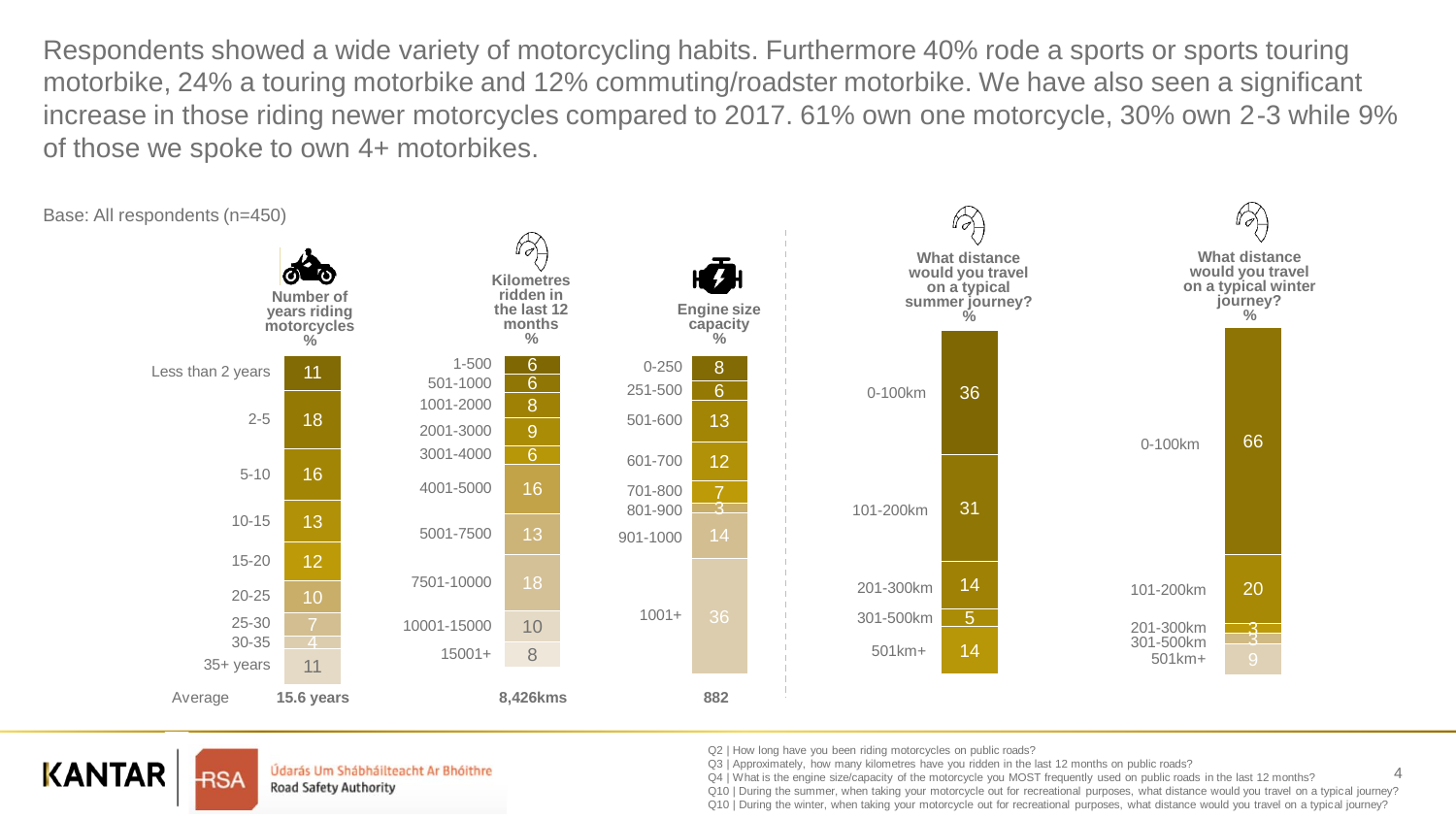Respondents showed a wide variety of motorcycling habits. Furthermore 40% rode a sports or sports touring motorbike, 24% a touring motorbike and 12% commuting/roadster motorbike. We have also seen a significant increase in those riding newer motorcycles compared to 2017. 61% own one motorcycle, 30% own 2-3 while 9% of those we spoke to own 4+ motorbikes.



## **KANTAR**

**RSA** 

Údarás Um Shábháilteacht Ar Bhóithre Road Safety Authority

Q2 | How long have you been riding motorcycles on public roads?

Q3 | Approximately, how many kilometres have you ridden in the last 12 months on public roads?

Q4 | What is the engine size/capacity of the motorcycle you MOST frequently used on public roads in the last 12 months?

Q10 | During the summer, when taking your motorcycle out for recreational purposes, what distance would you travel on a typical journey? Q10 | During the winter, when taking your motorcycle out for recreational purposes, what distance would you travel on a typical journey?

4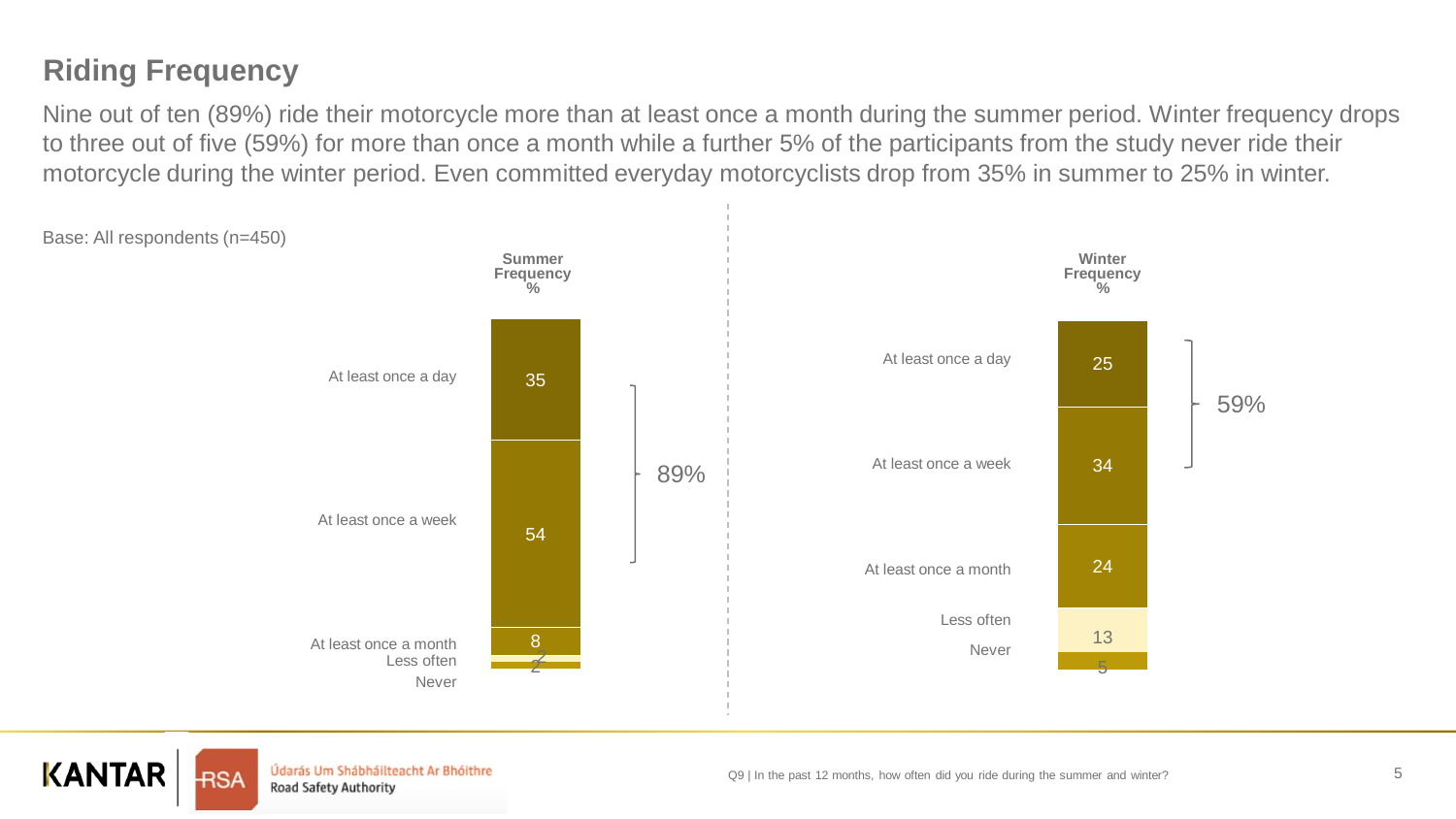## **Riding Frequency**

Nine out of ten (89%) ride their motorcycle more than at least once a month during the summer period. Winter frequency drops to three out of five (59%) for more than once a month while a further 5% of the participants from the study never ride their motorcycle during the winter period. Even committed everyday motorcyclists drop from 35% in summer to 25% in winter.





Údarás Um Shábháilteacht Ar Bhóithre Road Safety Authority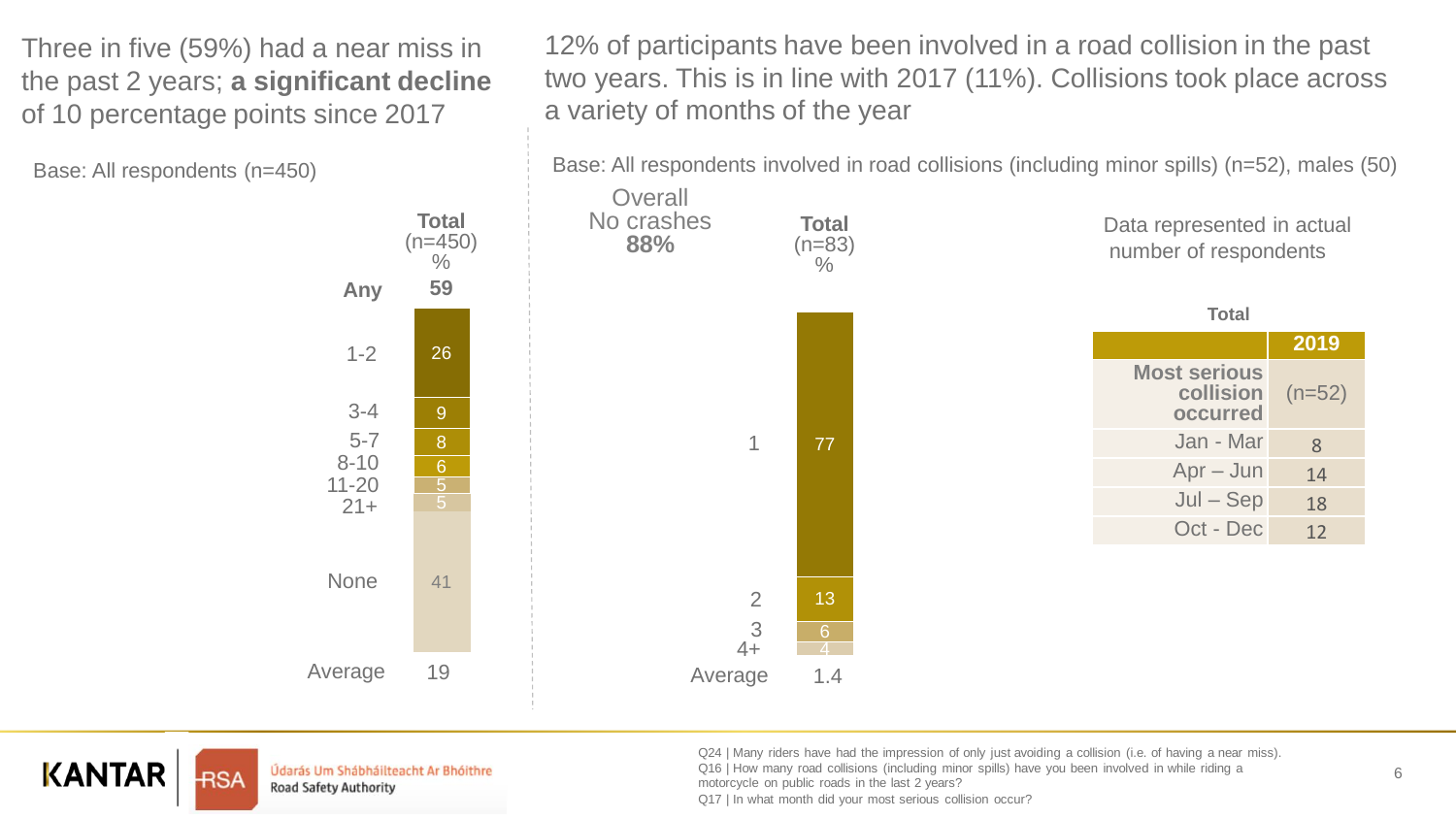Three in five (59%) had a near miss in the past 2 years; **a significant decline**  of 10 percentage points since 2017

Base: All respondents (n=450)

12% of participants have been involved in a road collision in the past two years. This is in line with 2017 (11%). Collisions took place across a variety of months of the year

Base: All respondents involved in road collisions (including minor spills) (n=52), males (50)





Údarás Um Shábháilteacht Ar Bhóithre Road Safety Authority

Q24 | Many riders have had the impression of only just avoiding a collision (i.e. of having a near miss). Q16 | How many road collisions (including minor spills) have you been involved in while riding a motorcycle on public roads in the last 2 years?

Q17 | In what month did your most serious collision occur?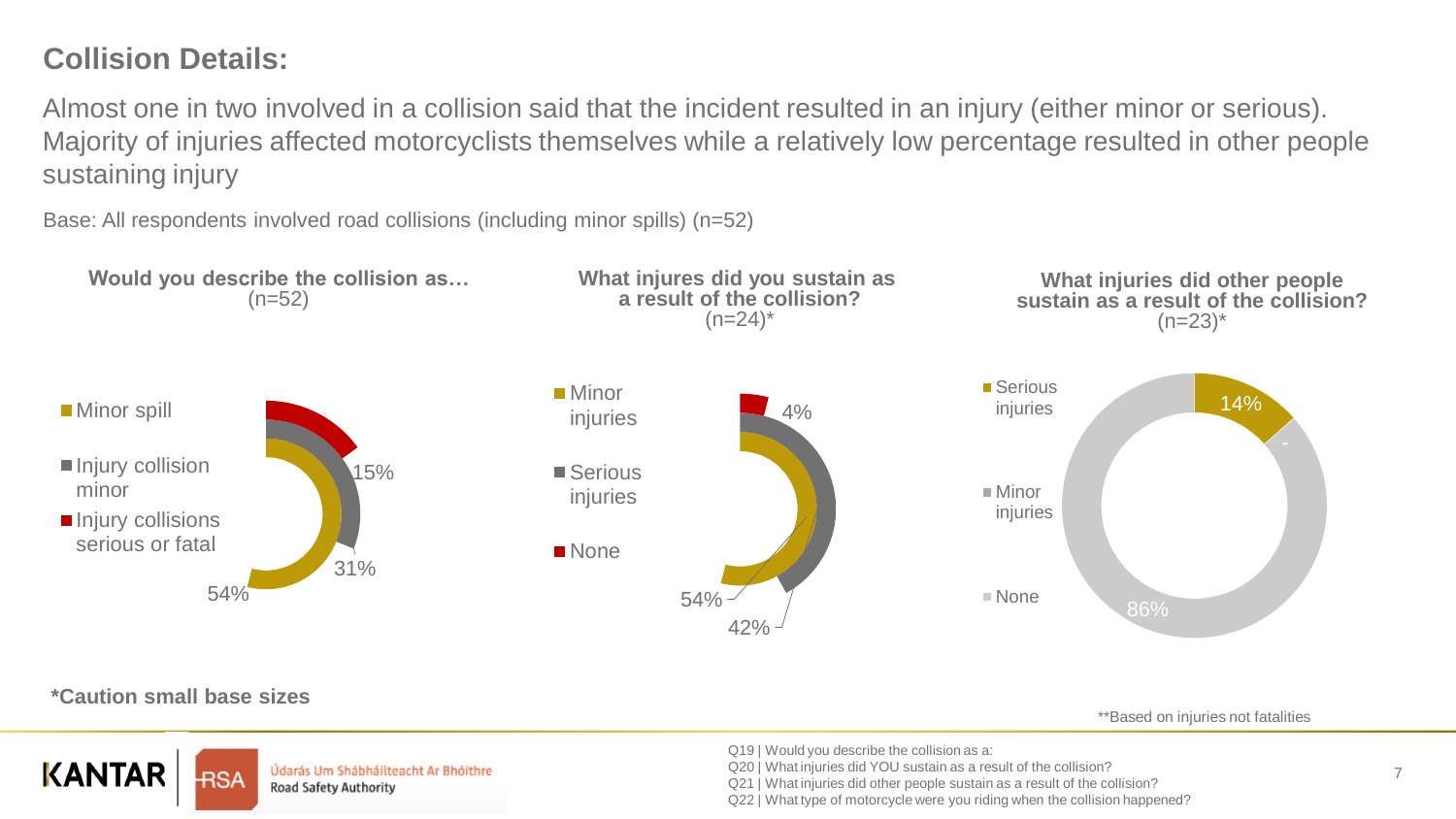### **Collision Details:**

Almost one in two involved in a collision said that the incident resulted in an injury (either minor or serious). Majority of injuries affected motorcyclists themselves while a relatively low percentage resulted in other people sustaining injury

Base: All respondents involved road collisions (including minor spills) (n=52)



#### **\*Caution small base sizes**

**KANTAR** 

\*\*Based on injuries not fatalities

Údarás Um Shábháilteacht Ar Bhóithre **Road Safety Authority** 

Q19 | Would you describe the collision as a:

Q20 | What injuries did YOU sustain as a result of the collision?

Q21 | What injuries did other people sustain as a result of the collision?

Q22 | What type of motorcycle were you riding when the collision happened?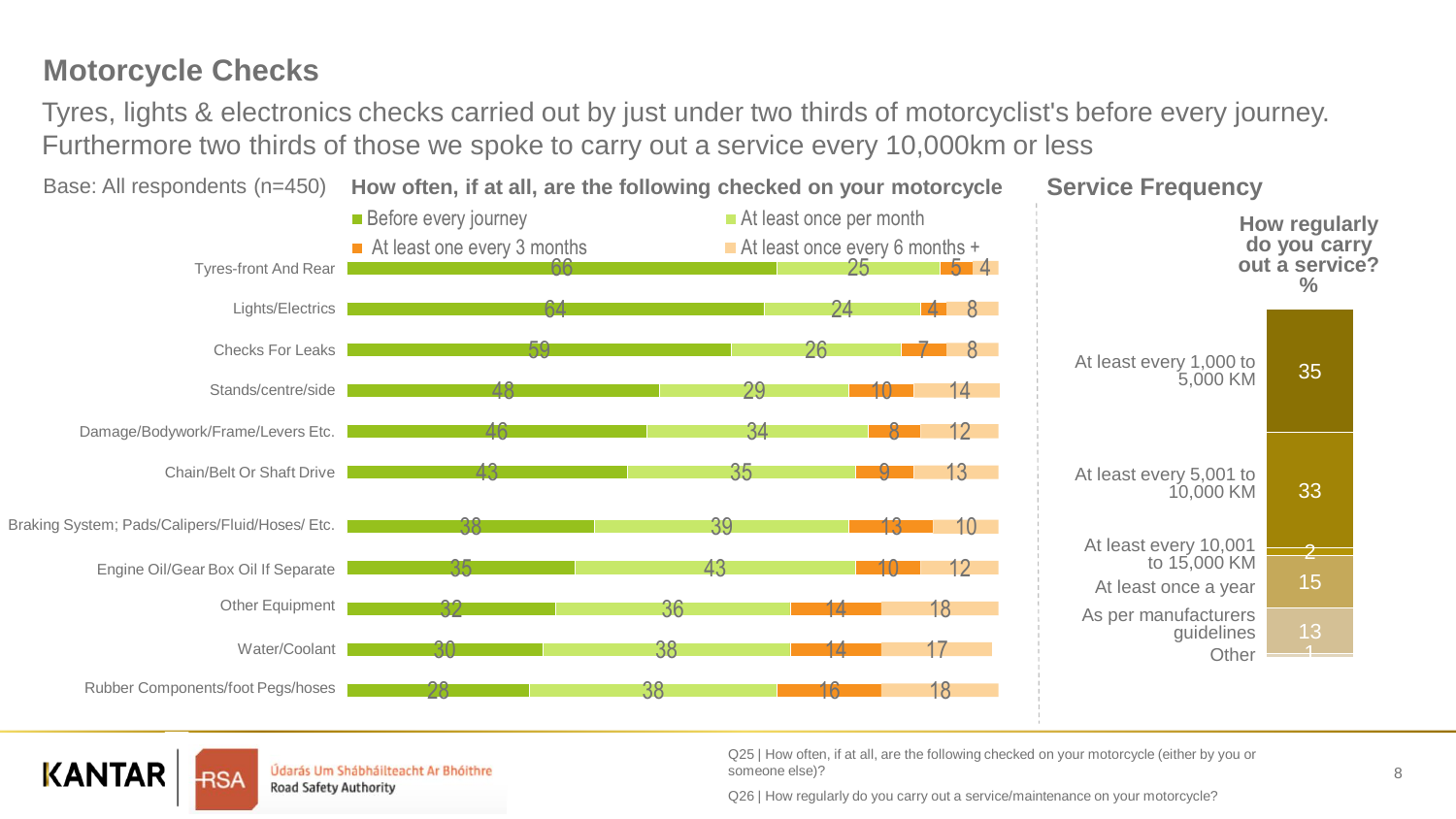### **Motorcycle Checks**

Tyres, lights & electronics checks carried out by just under two thirds of motorcyclist's before every journey. Furthermore two thirds of those we spoke to carry out a service every 10,000km or less



**KANTAR** 

Údarás Um Shábháilteacht Ar Bhóithre Road Safety Authority

Q25 | How often, if at all, are the following checked on your motorcycle (either by you or someone else)?

Q26 | How regularly do you carry out a service/maintenance on your motorcycle?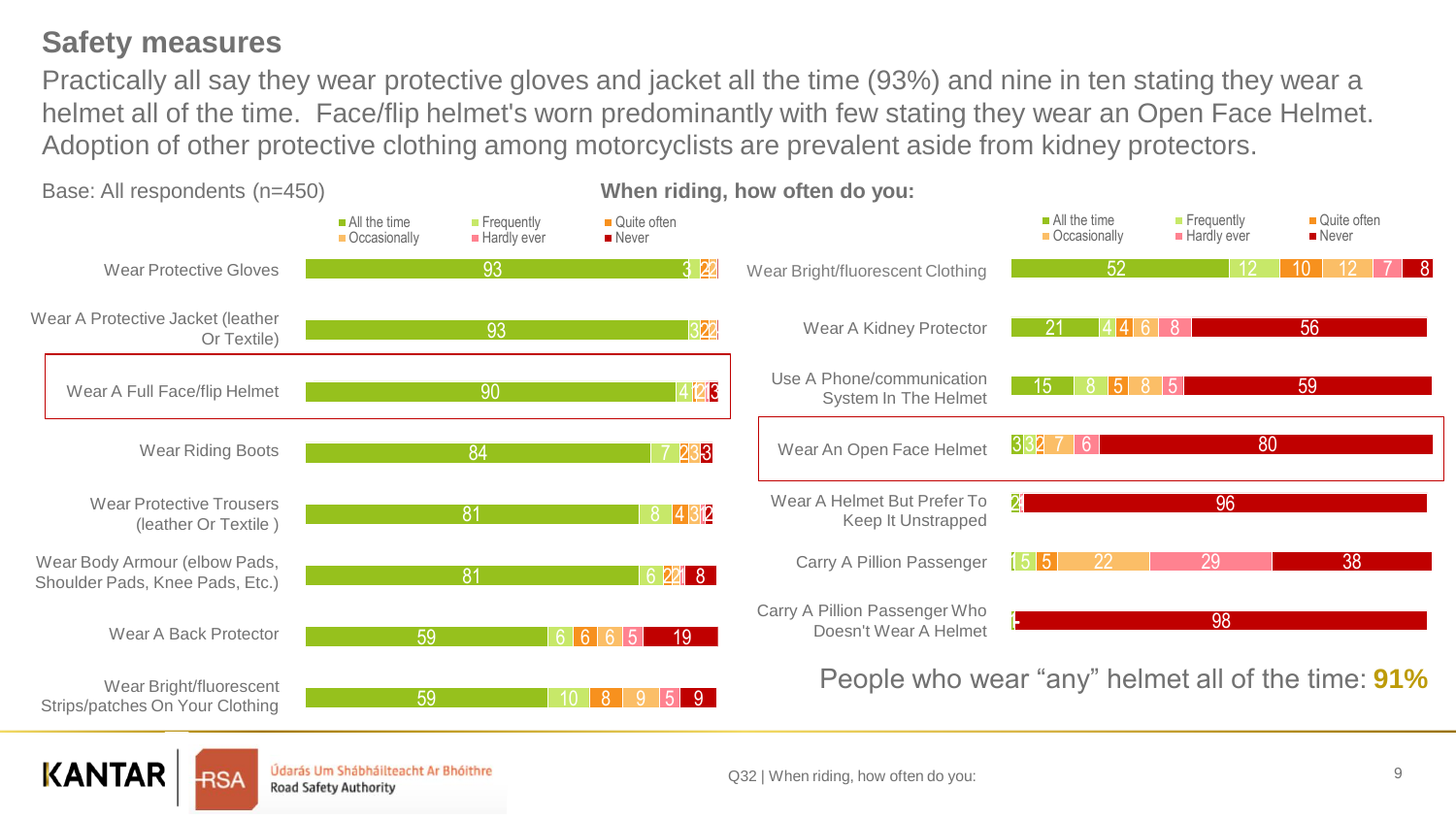### **Safety measures**

**KANTAR** 

RSA

Údarás Um Shábháilteacht Ar Bhóithre

**Road Safety Authority** 

Practically all say they wear protective gloves and jacket all the time (93%) and nine in ten stating they wear a helmet all of the time. Face/flip helmet's worn predominantly with few stating they wear an Open Face Helmet. Adoption of other protective clothing among motorcyclists are prevalent aside from kidney protectors.



Q32 | When riding, how often do you:

9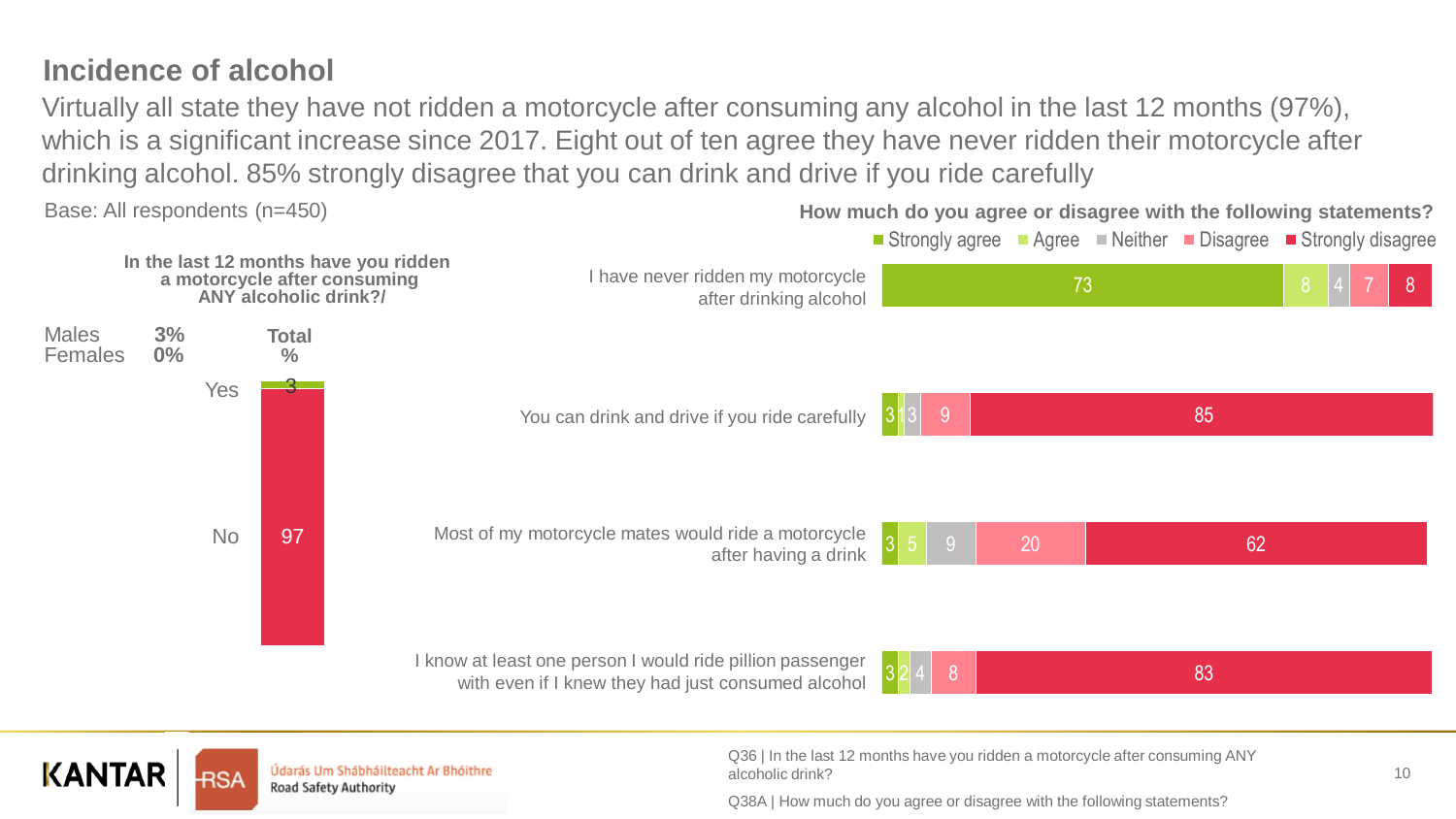### **Incidence of alcohol**

Virtually all state they have not ridden a motorcycle after consuming any alcohol in the last 12 months (97%), which is a significant increase since 2017. Eight out of ten agree they have never ridden their motorcycle after drinking alcohol. 85% strongly disagree that you can drink and drive if you ride carefully





Údarás Um Shábháilteacht Ar Bhóithre Road Safety Authority

Q36 | In the last 12 months have you ridden a motorcycle after consuming ANY alcoholic drink?

Q38A | How much do you agree or disagree with the following statements?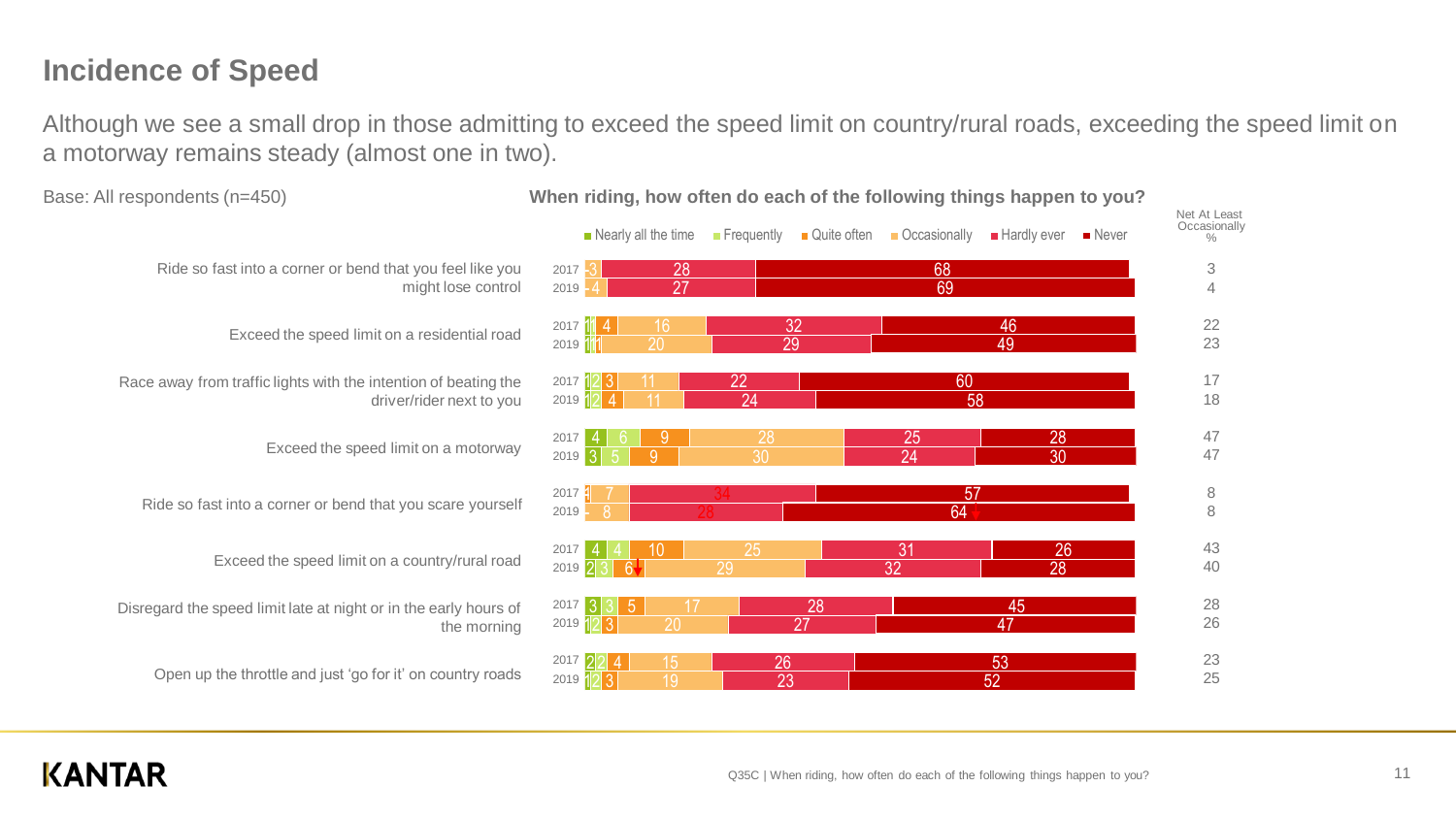### **Incidence of Speed**

Although we see a small drop in those admitting to exceed the speed limit on country/rural roads, exceeding the speed limit on a motorway remains steady (almost one in two).

|                                                             | Nearly all the time                      | <b>F</b> requently<br>Quite often | Occasionally<br><b>Hardly ever</b> | $\blacksquare$ Never | Net At Least<br>Occasionally<br>$\%$ |
|-------------------------------------------------------------|------------------------------------------|-----------------------------------|------------------------------------|----------------------|--------------------------------------|
| or bend that you feel like you<br>might lose control        | 28<br>2017<br>27<br>2019                 |                                   | 68<br>69                           |                      | 3<br>$\overline{4}$                  |
| ed limit on a residential road                              | 16<br>2017 $11$ 4<br>20<br>2019 11       | 32<br>29                          | 46<br>49                           |                      | 22<br>23                             |
| th the intention of beating the<br>driver/rider next to you | 2017 12 3<br>$2019$ $12$ 4               | 22<br>24                          | 60<br>58                           |                      | 17<br>18                             |
| e speed limit on a motorway                                 | 9<br>2017<br>2019<br>9                   | 28<br>30                          | 25<br>24                           | 28<br>30             | 47<br>47                             |
| bend that you scare yourself                                | $2017$ $\frac{1}{1}$<br>8<br>2019        |                                   | 57<br>64                           |                      | $\begin{matrix} 8 \\ 8 \end{matrix}$ |
| d limit on a country/rural road                             | 2017<br>10<br>$2019$ 2 3<br>$6\pm$       | 25<br>29                          | 31<br>32                           | 26<br>28             | 43<br>40                             |
| night or in the early hours of<br>the morning               | $2017$ 3<br>3 5<br>17<br>2019 12 3<br>20 | 28<br>27                          | 45<br>47                           |                      | 28<br>26                             |
| ist 'go for it' on country roads                            | 15<br>2017 22<br>2019 12 3<br>19         | 26<br>23                          | 53<br>52                           |                      | 23<br>25                             |

Base: All respondents (n=450) **When riding, how often do each of the following things happen to you?**

Ride so fast into a corner

Exceed the spe

Race away from traffic lights with

Exceed th

Ride so fast into a corner or

Exceed the speed

Disregard the speed limit late at

Open up the throttle and ju

### **KANTAR**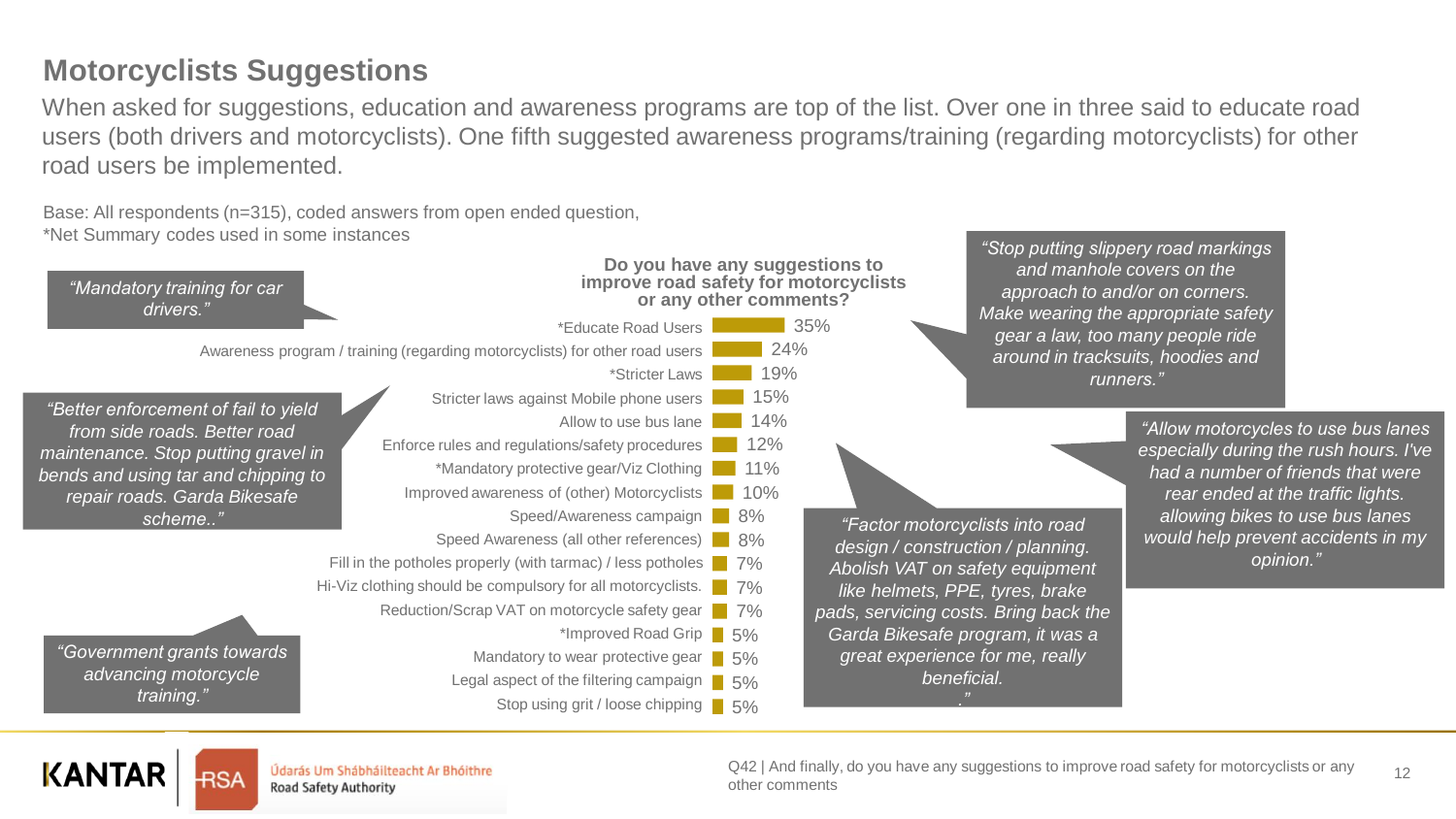#### 12 Q42 | And finally, do you have any suggestions to improve road safety for motorcyclists or any other comments

Údarás Um Shábháilteacht Ar Bhóithre Road Safety Authority

*"Government grants towards advancing motorcycle training."*

**KANTAR** 

**Do you have any suggestions to improve road safety for motorcyclists or any other comments?** 24% 19% 15% 14% 12% \*Mandatory protective gear/Viz Clothing **11%** Improved awareness of (other) Motorcyclists 10% Speed/Awareness campaign 8% Speed Awareness (all other references) 8% Fill in the potholes properly (with tarmac) / less potholes 7% Hi-Viz clothing should be compulsory for all motorcyclists. **The 7%** Reduction/Scrap VAT on motorcycle safety gear 7% \*Educate Road Users Awareness program / training (regarding motorcyclists) for other road users \*Stricter Laws Stricter laws against Mobile phone users Allow to use bus lane Enforce rules and regulations/safety procedures *"Mandatory training for car drivers." "Better enforcement of fail to yield from side roads. Better road maintenance. Stop putting gravel in bends and using tar and chipping to repair roads. Garda Bikesafe scheme.." "Factor motorcyclists into road* 

When asked for suggestions, education and awareness programs are top of the list. Over one in three said to educate road users (both drivers and motorcyclists). One fifth suggested awareness programs/training (regarding motorcyclists) for other

\*Improved Road Grip | 5%

Mandatory to wear protective gear **1** 5% Legal aspect of the filtering campaign **6** 5%

Stop using grit / loose chipping | 5%

35%

Base: All respondents (n=315), coded answers from open ended question, \*Net Summary codes used in some instances

### **Motorcyclists Suggestions**

road users be implemented.

*"Stop putting slippery road markings and manhole covers on the approach to and/or on corners. Make wearing the appropriate safety gear a law, too many people ride around in tracksuits, hoodies and runners."*

*design / construction / planning. Abolish VAT on safety equipment like helmets, PPE, tyres, brake pads, servicing costs. Bring back the Garda Bikesafe program, it was a great experience for me, really beneficial. ."*

*"Allow motorcycles to use bus lanes especially during the rush hours. I've had a number of friends that were rear ended at the traffic lights. allowing bikes to use bus lanes would help prevent accidents in my opinion."*